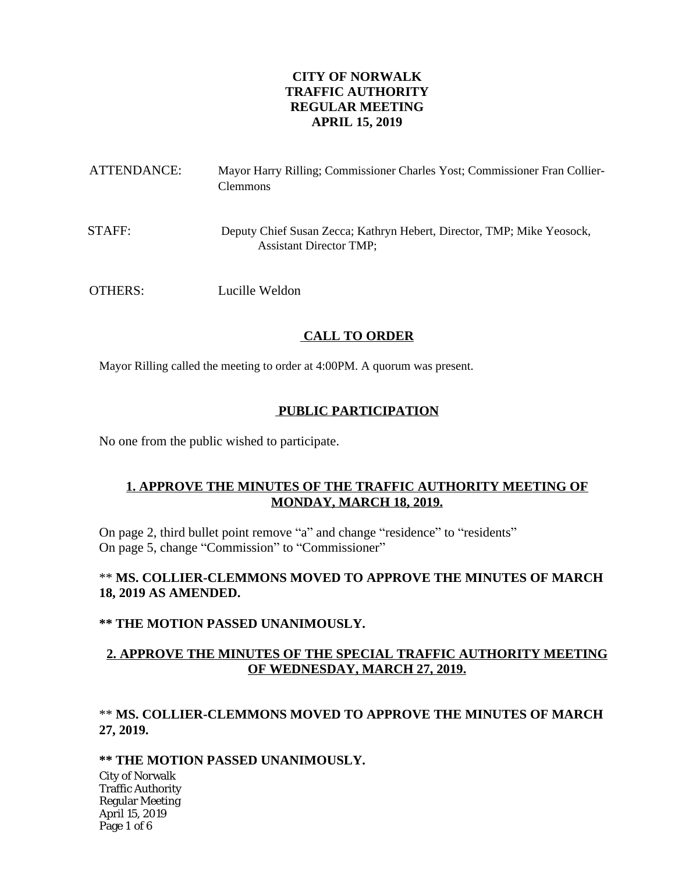# **CITY OF NORWALK TRAFFIC AUTHORITY REGULAR MEETING APRIL 15, 2019**

| ATTENDANCE: | Mayor Harry Rilling; Commissioner Charles Yost; Commissioner Fran Collier-<br><b>Clemmons</b>            |
|-------------|----------------------------------------------------------------------------------------------------------|
| STAFF:      | Deputy Chief Susan Zecca; Kathryn Hebert, Director, TMP; Mike Yeosock,<br><b>Assistant Director TMP;</b> |
| OTHERS:     | Lucille Weldon                                                                                           |

# **CALL TO ORDER**

Mayor Rilling called the meeting to order at 4:00PM. A quorum was present.

## **PUBLIC PARTICIPATION**

No one from the public wished to participate.

# **1. APPROVE THE MINUTES OF THE TRAFFIC AUTHORITY MEETING OF MONDAY, MARCH 18, 2019.**

On page 2, third bullet point remove "a" and change "residence" to "residents" On page 5, change "Commission" to "Commissioner"

# \*\* **MS. COLLIER-CLEMMONS MOVED TO APPROVE THE MINUTES OF MARCH 18, 2019 AS AMENDED.**

### **\*\* THE MOTION PASSED UNANIMOUSLY.**

## **2. APPROVE THE MINUTES OF THE SPECIAL TRAFFIC AUTHORITY MEETING OF WEDNESDAY, MARCH 27, 2019.**

# \*\* **MS. COLLIER-CLEMMONS MOVED TO APPROVE THE MINUTES OF MARCH 27, 2019.**

### **\*\* THE MOTION PASSED UNANIMOUSLY.**

City of Norwalk Traffic Authority Regular Meeting April 15, 2019 Page 1 of 6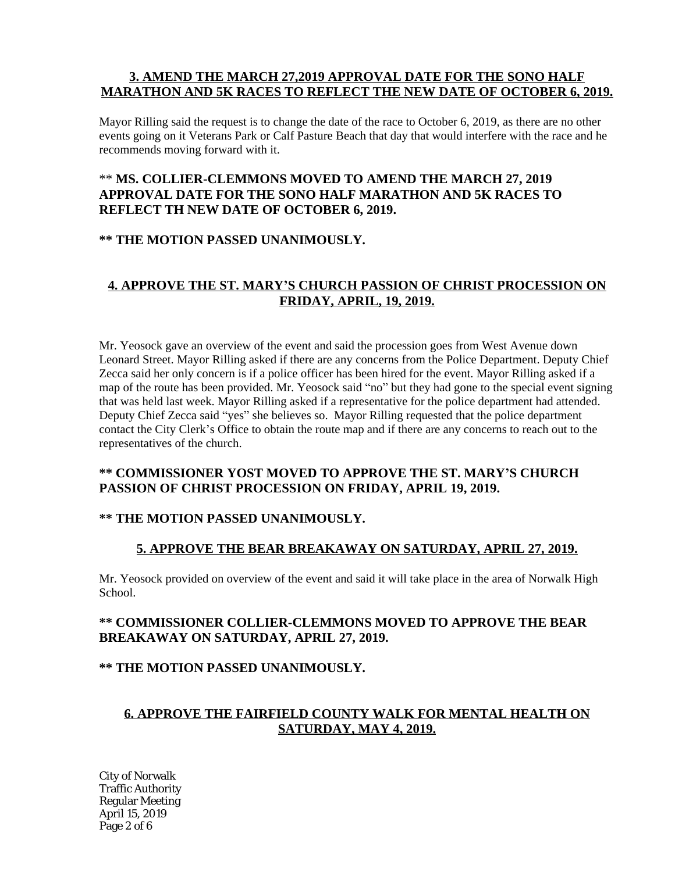## **3. AMEND THE MARCH 27,2019 APPROVAL DATE FOR THE SONO HALF MARATHON AND 5K RACES TO REFLECT THE NEW DATE OF OCTOBER 6, 2019.**

Mayor Rilling said the request is to change the date of the race to October 6, 2019, as there are no other events going on it Veterans Park or Calf Pasture Beach that day that would interfere with the race and he recommends moving forward with it.

# \*\* **MS. COLLIER-CLEMMONS MOVED TO AMEND THE MARCH 27, 2019 APPROVAL DATE FOR THE SONO HALF MARATHON AND 5K RACES TO REFLECT TH NEW DATE OF OCTOBER 6, 2019.**

## **\*\* THE MOTION PASSED UNANIMOUSLY.**

# **4. APPROVE THE ST. MARY'S CHURCH PASSION OF CHRIST PROCESSION ON FRIDAY, APRIL, 19, 2019.**

Mr. Yeosock gave an overview of the event and said the procession goes from West Avenue down Leonard Street. Mayor Rilling asked if there are any concerns from the Police Department. Deputy Chief Zecca said her only concern is if a police officer has been hired for the event. Mayor Rilling asked if a map of the route has been provided. Mr. Yeosock said "no" but they had gone to the special event signing that was held last week. Mayor Rilling asked if a representative for the police department had attended. Deputy Chief Zecca said "yes" she believes so. Mayor Rilling requested that the police department contact the City Clerk's Office to obtain the route map and if there are any concerns to reach out to the representatives of the church.

# **\*\* COMMISSIONER YOST MOVED TO APPROVE THE ST. MARY'S CHURCH PASSION OF CHRIST PROCESSION ON FRIDAY, APRIL 19, 2019.**

# **\*\* THE MOTION PASSED UNANIMOUSLY.**

# **5. APPROVE THE BEAR BREAKAWAY ON SATURDAY, APRIL 27, 2019.**

Mr. Yeosock provided on overview of the event and said it will take place in the area of Norwalk High School.

# **\*\* COMMISSIONER COLLIER-CLEMMONS MOVED TO APPROVE THE BEAR BREAKAWAY ON SATURDAY, APRIL 27, 2019.**

### **\*\* THE MOTION PASSED UNANIMOUSLY.**

# **6. APPROVE THE FAIRFIELD COUNTY WALK FOR MENTAL HEALTH ON SATURDAY, MAY 4, 2019.**

City of Norwalk Traffic Authority Regular Meeting April 15, 2019 Page 2 of 6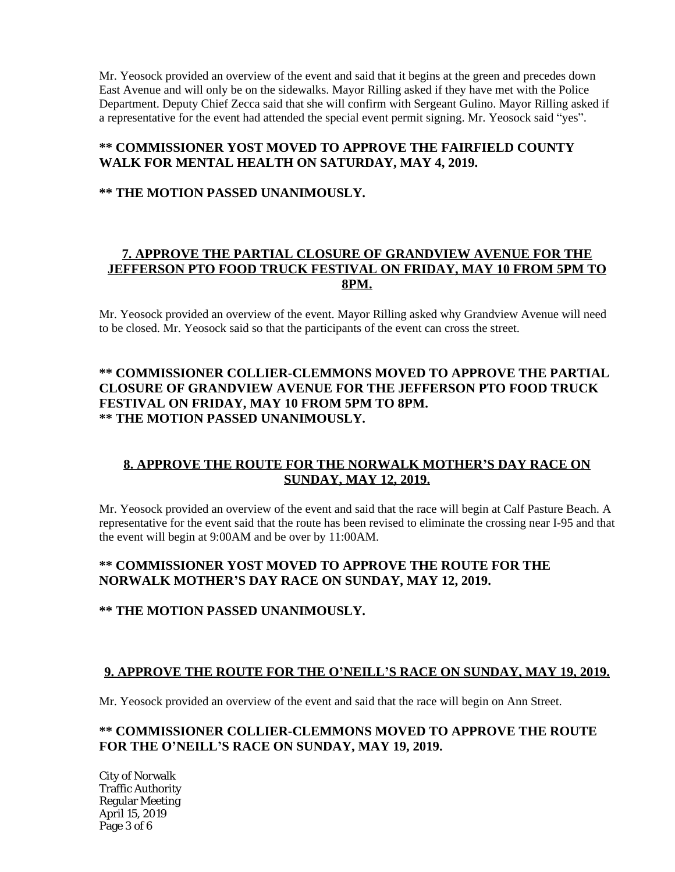Mr. Yeosock provided an overview of the event and said that it begins at the green and precedes down East Avenue and will only be on the sidewalks. Mayor Rilling asked if they have met with the Police Department. Deputy Chief Zecca said that she will confirm with Sergeant Gulino. Mayor Rilling asked if a representative for the event had attended the special event permit signing. Mr. Yeosock said "yes".

## **\*\* COMMISSIONER YOST MOVED TO APPROVE THE FAIRFIELD COUNTY WALK FOR MENTAL HEALTH ON SATURDAY, MAY 4, 2019.**

### **\*\* THE MOTION PASSED UNANIMOUSLY.**

## **7. APPROVE THE PARTIAL CLOSURE OF GRANDVIEW AVENUE FOR THE JEFFERSON PTO FOOD TRUCK FESTIVAL ON FRIDAY, MAY 10 FROM 5PM TO 8PM.**

Mr. Yeosock provided an overview of the event. Mayor Rilling asked why Grandview Avenue will need to be closed. Mr. Yeosock said so that the participants of the event can cross the street.

# **\*\* COMMISSIONER COLLIER-CLEMMONS MOVED TO APPROVE THE PARTIAL CLOSURE OF GRANDVIEW AVENUE FOR THE JEFFERSON PTO FOOD TRUCK FESTIVAL ON FRIDAY, MAY 10 FROM 5PM TO 8PM. \*\* THE MOTION PASSED UNANIMOUSLY.**

# **8. APPROVE THE ROUTE FOR THE NORWALK MOTHER'S DAY RACE ON SUNDAY, MAY 12, 2019.**

Mr. Yeosock provided an overview of the event and said that the race will begin at Calf Pasture Beach. A representative for the event said that the route has been revised to eliminate the crossing near I-95 and that the event will begin at 9:00AM and be over by 11:00AM.

## **\*\* COMMISSIONER YOST MOVED TO APPROVE THE ROUTE FOR THE NORWALK MOTHER'S DAY RACE ON SUNDAY, MAY 12, 2019.**

### **\*\* THE MOTION PASSED UNANIMOUSLY.**

### **9. APPROVE THE ROUTE FOR THE O'NEILL'S RACE ON SUNDAY, MAY 19, 2019.**

Mr. Yeosock provided an overview of the event and said that the race will begin on Ann Street.

### **\*\* COMMISSIONER COLLIER-CLEMMONS MOVED TO APPROVE THE ROUTE FOR THE O'NEILL'S RACE ON SUNDAY, MAY 19, 2019.**

City of Norwalk Traffic Authority Regular Meeting April 15, 2019 Page 3 of 6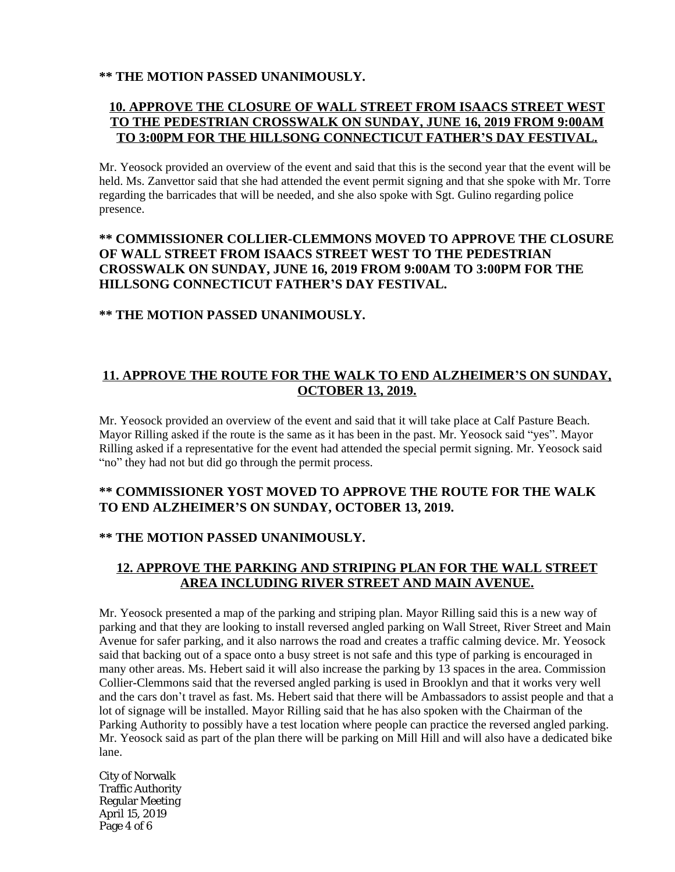## **\*\* THE MOTION PASSED UNANIMOUSLY.**

# **10. APPROVE THE CLOSURE OF WALL STREET FROM ISAACS STREET WEST TO THE PEDESTRIAN CROSSWALK ON SUNDAY, JUNE 16, 2019 FROM 9:00AM TO 3:00PM FOR THE HILLSONG CONNECTICUT FATHER'S DAY FESTIVAL.**

Mr. Yeosock provided an overview of the event and said that this is the second year that the event will be held. Ms. Zanvettor said that she had attended the event permit signing and that she spoke with Mr. Torre regarding the barricades that will be needed, and she also spoke with Sgt. Gulino regarding police presence.

# **\*\* COMMISSIONER COLLIER-CLEMMONS MOVED TO APPROVE THE CLOSURE OF WALL STREET FROM ISAACS STREET WEST TO THE PEDESTRIAN CROSSWALK ON SUNDAY, JUNE 16, 2019 FROM 9:00AM TO 3:00PM FOR THE HILLSONG CONNECTICUT FATHER'S DAY FESTIVAL.**

## **\*\* THE MOTION PASSED UNANIMOUSLY.**

# **11. APPROVE THE ROUTE FOR THE WALK TO END ALZHEIMER'S ON SUNDAY, OCTOBER 13, 2019.**

Mr. Yeosock provided an overview of the event and said that it will take place at Calf Pasture Beach. Mayor Rilling asked if the route is the same as it has been in the past. Mr. Yeosock said "yes". Mayor Rilling asked if a representative for the event had attended the special permit signing. Mr. Yeosock said "no" they had not but did go through the permit process.

# **\*\* COMMISSIONER YOST MOVED TO APPROVE THE ROUTE FOR THE WALK TO END ALZHEIMER'S ON SUNDAY, OCTOBER 13, 2019.**

# **\*\* THE MOTION PASSED UNANIMOUSLY.**

# **12. APPROVE THE PARKING AND STRIPING PLAN FOR THE WALL STREET AREA INCLUDING RIVER STREET AND MAIN AVENUE.**

Mr. Yeosock presented a map of the parking and striping plan. Mayor Rilling said this is a new way of parking and that they are looking to install reversed angled parking on Wall Street, River Street and Main Avenue for safer parking, and it also narrows the road and creates a traffic calming device. Mr. Yeosock said that backing out of a space onto a busy street is not safe and this type of parking is encouraged in many other areas. Ms. Hebert said it will also increase the parking by 13 spaces in the area. Commission Collier-Clemmons said that the reversed angled parking is used in Brooklyn and that it works very well and the cars don't travel as fast. Ms. Hebert said that there will be Ambassadors to assist people and that a lot of signage will be installed. Mayor Rilling said that he has also spoken with the Chairman of the Parking Authority to possibly have a test location where people can practice the reversed angled parking. Mr. Yeosock said as part of the plan there will be parking on Mill Hill and will also have a dedicated bike lane.

City of Norwalk Traffic Authority Regular Meeting April 15, 2019 Page 4 of 6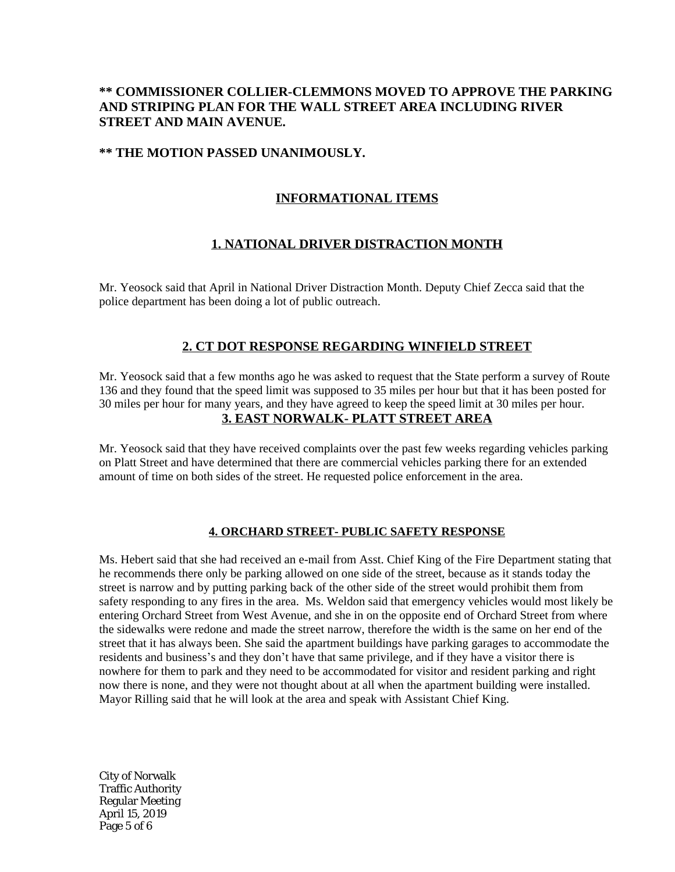## **\*\* COMMISSIONER COLLIER-CLEMMONS MOVED TO APPROVE THE PARKING AND STRIPING PLAN FOR THE WALL STREET AREA INCLUDING RIVER STREET AND MAIN AVENUE.**

#### **\*\* THE MOTION PASSED UNANIMOUSLY.**

## **INFORMATIONAL ITEMS**

### **1. NATIONAL DRIVER DISTRACTION MONTH**

Mr. Yeosock said that April in National Driver Distraction Month. Deputy Chief Zecca said that the police department has been doing a lot of public outreach.

### **2. CT DOT RESPONSE REGARDING WINFIELD STREET**

Mr. Yeosock said that a few months ago he was asked to request that the State perform a survey of Route 136 and they found that the speed limit was supposed to 35 miles per hour but that it has been posted for 30 miles per hour for many years, and they have agreed to keep the speed limit at 30 miles per hour. **3. EAST NORWALK- PLATT STREET AREA**

Mr. Yeosock said that they have received complaints over the past few weeks regarding vehicles parking on Platt Street and have determined that there are commercial vehicles parking there for an extended amount of time on both sides of the street. He requested police enforcement in the area.

#### **4. ORCHARD STREET- PUBLIC SAFETY RESPONSE**

Ms. Hebert said that she had received an e-mail from Asst. Chief King of the Fire Department stating that he recommends there only be parking allowed on one side of the street, because as it stands today the street is narrow and by putting parking back of the other side of the street would prohibit them from safety responding to any fires in the area. Ms. Weldon said that emergency vehicles would most likely be entering Orchard Street from West Avenue, and she in on the opposite end of Orchard Street from where the sidewalks were redone and made the street narrow, therefore the width is the same on her end of the street that it has always been. She said the apartment buildings have parking garages to accommodate the residents and business's and they don't have that same privilege, and if they have a visitor there is nowhere for them to park and they need to be accommodated for visitor and resident parking and right now there is none, and they were not thought about at all when the apartment building were installed. Mayor Rilling said that he will look at the area and speak with Assistant Chief King.

City of Norwalk Traffic Authority Regular Meeting April 15, 2019 Page 5 of 6